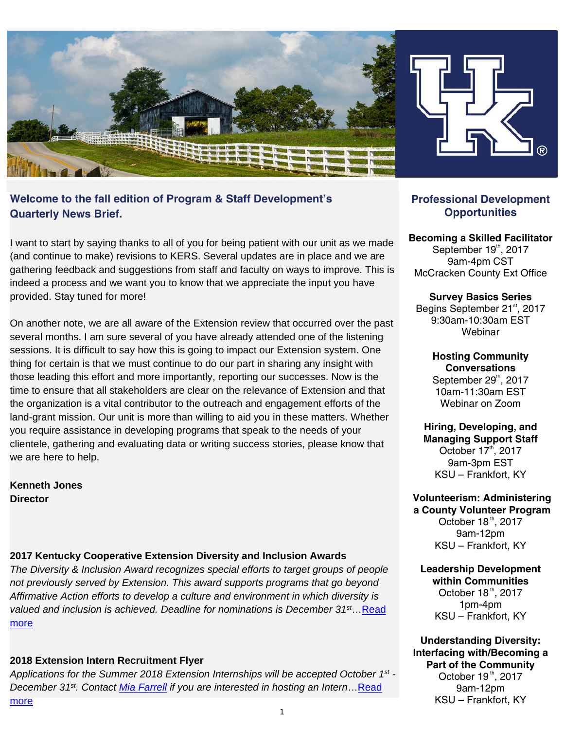

# **Welcome to the fall edition of Program & Staff Development's Quarterly News Brief.**

I want to start by saying thanks to all of you for being patient with our unit as we made (and continue to make) revisions to KERS. Several updates are in place and we are gathering feedback and suggestions from staff and faculty on ways to improve. This is indeed a process and we want you to know that we appreciate the input you have provided. Stay tuned for more!

On another note, we are all aware of the Extension review that occurred over the past several months. I am sure several of you have already attended one of the listening sessions. It is difficult to say how this is going to impact our Extension system. One thing for certain is that we must continue to do our part in sharing any insight with those leading this effort and more importantly, reporting our successes. Now is the time to ensure that all stakeholders are clear on the relevance of Extension and that the organization is a vital contributor to the outreach and engagement efforts of the land-grant mission. Our unit is more than willing to aid you in these matters. Whether you require assistance in developing programs that speak to the needs of your clientele, gathering and evaluating data or writing success stories, please know that we are here to help.

**Kenneth Jones Director** 

### **2017 Kentucky Cooperative Extension Diversity and Inclusion Awards**

*The Diversity & Inclusion Award recognizes special efforts to target groups of people not previously served by Extension. This award supports programs that go beyond Affirmative Action efforts to develop a culture and environment in which diversity is valued and inclusion is achieved. Deadline for nominations is December 31st*[…Read](https://psd.ca.uky.edu/sites/psd.ca.uky.edu/files/diversityinclusionnomination_form.pdf)  [more](https://psd.ca.uky.edu/sites/psd.ca.uky.edu/files/diversityinclusionnomination_form.pdf)

### **2018 Extension Intern Recruitment Flyer**

*Applications for the Summer 2018 Extension Internships will be accepted October 1st - December 31st. Contact [Mia Farrell](mailto:antomia.farrell@uky.edu) if you are interested in hosting an Intern*[…Read](https://psd.ca.uky.edu/sites/psd.ca.uky.edu/files/ces_flyer_-_2018_-_smaller.pdf)  [more](https://psd.ca.uky.edu/sites/psd.ca.uky.edu/files/ces_flyer_-_2018_-_smaller.pdf)

## **Professional Development Opportunities**

### **Becoming a Skilled Facilitator**

September 19th, 2017 9am-4pm CST McCracken County Ext Office

**Survey Basics Series**  Begins September 21<sup>st</sup>, 2017 9:30am-10:30am EST Webinar

> **Hosting Community Conversations**  September  $29<sup>th</sup>$ , 2017 10am-11:30am EST Webinar on Zoom

**Hiring, Developing, and Managing Support Staff**  October 17<sup>th</sup>, 2017 9am-3pm EST KSU – Frankfort, KY

#### **Volunteerism: Administering a County Volunteer Program**

October  $18<sup>th</sup>$ , 2017 9am-12pm KSU – Frankfort, KY

#### **Leadership Development within Communities**

October 18<sup>th</sup>, 2017 1pm-4pm KSU – Frankfort, KY

**Understanding Diversity: Interfacing with/Becoming a Part of the Community** 

October 19<sup>th</sup>, 2017 9am-12pm KSU – Frankfort, KY